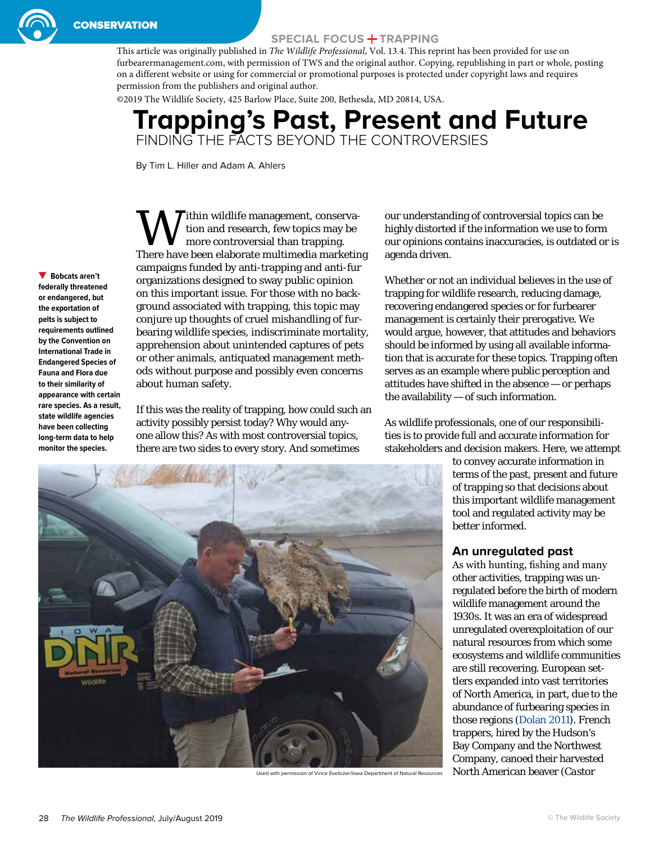

# CONSERVATION CONSERVATION

### **SPECIAL FOCUS + TRAPPING**

This article was originally published in *The Wildlife Professional*, Vol. 13.4. This reprint has been provided for use on furbearermanagement.com, with permission of TWS and the original author. Copying, republishing in part or whole, posting on a different website or using for commercial or promotional purposes is protected under copyright laws and requires permission from the publishers and original author.

©2019 The Wildlife Society, 425 Barlow Place, Suite 200, Bethesda, MD 20814, USA.

# FINDING THE FACTS BEYOND THE CONTROVERSIES **Trapping's Past, Present and Future**

By Tim L. Hiller and Adam A. Ahlers

**Bobcats aren't federally threatened or endangered, but the exportation of pelts is subject to requirements outlined by the Convention on International Trade in Endangered Species of Fauna and Flora due to their similarity of appearance with certain rare species. As a result, state wildlife agencies have been collecting long-term data to help monitor the species.**

W ithin wildlife management, conserva-<br>tion and research, few topics may be<br>more controversial than trapping. tion and research, few topics may be more controversial than trapping. There have been elaborate multimedia marketing campaigns funded by anti-trapping and anti-fur organizations designed to sway public opinion on this important issue. For those with no background associated with trapping, this topic may conjure up thoughts of cruel mishandling of furbearing wildlife species, indiscriminate mortality, apprehension about unintended captures of pets or other animals, antiquated management methods without purpose and possibly even concerns about human safety.

If this was the reality of trapping, how could such an activity possibly persist today? Why would anyone allow this? As with most controversial topics, there are two sides to every story. And sometimes

our understanding of controversial topics can be highly distorted if the information we use to form our opinions contains inaccuracies, is outdated or is agenda driven.

Whether or not an individual believes in the use of trapping for wildlife research, reducing damage, recovering endangered species or for furbearer management is certainly their prerogative. We would argue, however, that attitudes and behaviors should be informed by using all available information that is accurate for these topics. Trapping often serves as an example where public perception and attitudes have shifted in the absence — or perhaps the availability — of such information.

As wildlife professionals, one of our responsibilities is to provide full and accurate information for stakeholders and decision makers. Here, we attempt

> to convey accurate information in terms of the past, present and future of trapping so that decisions about this important wildlife management tool and regulated activity may be better informed.

## **An unregulated past**

As with hunting, fishing and many other activities, trapping was unregulated before the birth of modern wildlife management around the 1930s. It was an era of widespread unregulated overexploitation of our natural resources from which some ecosystems and wildlife communities are still recovering. European settlers expanded into vast territories of North America, in part, due to the abundance of furbearing species in those regions ([Dolan 2011\)](https://books.wwnorton.com/books/Fur-Fortune-and-Empire/). French trappers, hired by the Hudson's Bay Company and the Northwest Company, canoed their harvested North American beaver (*Castor* 



Used with permission of Vince Evelsizer/Iowa Department of Natural Resources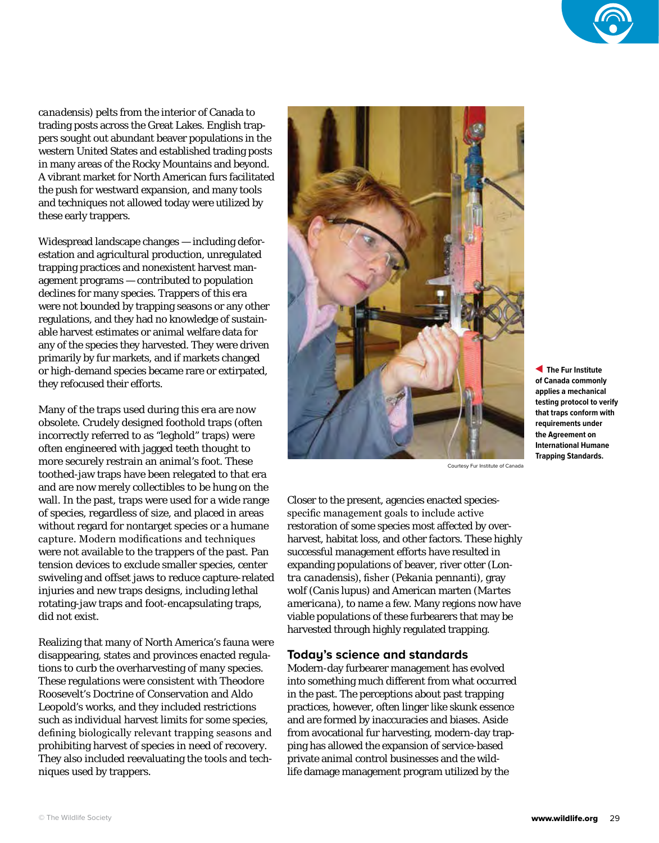*canadensis*) pelts from the interior of Canada to trading posts across the Great Lakes. English trappers sought out abundant beaver populations in the western United States and established trading posts in many areas of the Rocky Mountains and beyond. A vibrant market for North American furs facilitated the push for westward expansion, and many tools and techniques not allowed today were utilized by these early trappers.

Widespread landscape changes — including deforestation and agricultural production, unregulated trapping practices and nonexistent harvest management programs — contributed to population declines for many species. Trappers of this era were not bounded by trapping seasons or any other regulations, and they had no knowledge of sustainable harvest estimates or animal welfare data for any of the species they harvested. They were driven primarily by fur markets, and if markets changed or high-demand species became rare or extirpated, they refocused their efforts.

Many of the traps used during this era are now obsolete. Crudely designed foothold traps (often incorrectly referred to as "leghold" traps) were often engineered with jagged teeth thought to more securely restrain an animal's foot. These toothed-jaw traps have been relegated to that era and are now merely collectibles to be hung on the wall. In the past, traps were used for a wide range of species, regardless of size, and placed in areas without regard for nontarget species or a humane capture. Modern modifications and techniques were not available to the trappers of the past. Pan tension devices to exclude smaller species, center swiveling and offset jaws to reduce capture-related injuries and new traps designs, including lethal rotating-jaw traps and foot-encapsulating traps, did not exist.

Realizing that many of North America's fauna were disappearing, states and provinces enacted regulations to curb the overharvesting of many species. These regulations were consistent with Theodore Roosevelt's Doctrine of Conservation and Aldo Leopold's works, and they included restrictions such as individual harvest limits for some species, defining biologically relevant trapping seasons and prohibiting harvest of species in need of recovery. They also included reevaluating the tools and techniques used by trappers.



**The Fur Institute of Canada commonly applies a mechanical testing protocol to verify that traps conform with requirements under the Agreement on International Humane Trapping Standards.**

Courtesy Fur Institute of Canada

Closer to the present, agencies enacted speciesspecific management goals to include active restoration of some species most affected by overharvest, habitat loss, and other factors. These highly successful management efforts have resulted in expanding populations of beaver, river otter (*Lontra canadensis*), fisher (*Pekania pennanti*), gray wolf (*Canis lupus*) and American marten (*Martes americana*), to name a few. Many regions now have viable populations of these furbearers that may be harvested through highly regulated trapping.

#### **Today's science and standards**

Modern-day furbearer management has evolved into something much different from what occurred in the past. The perceptions about past trapping practices, however, often linger like skunk essence and are formed by inaccuracies and biases. Aside from avocational fur harvesting, modern-day trapping has allowed the expansion of service-based private animal control businesses and the wildlife damage management program utilized by the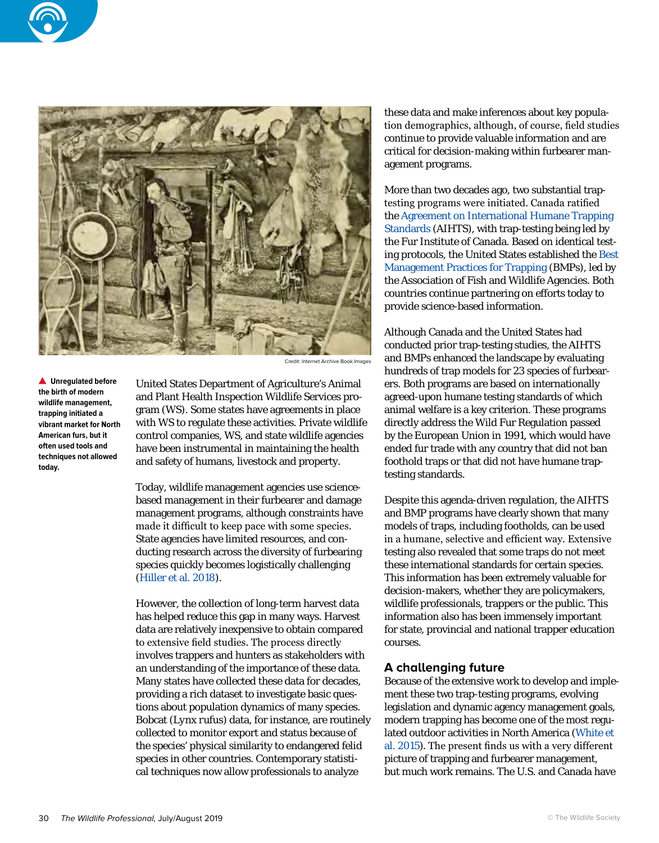

Credit: Internet Archive Book Images

**Unregulated before the birth of modern wildlife management, trapping initiated a vibrant market for North American furs, but it often used tools and techniques not allowed today.**

United States Department of Agriculture's Animal and Plant Health Inspection Wildlife Services program (WS). Some states have agreements in place with WS to regulate these activities. Private wildlife control companies, WS, and state wildlife agencies have been instrumental in maintaining the health and safety of humans, livestock and property.

Today, wildlife management agencies use sciencebased management in their furbearer and damage management programs, although constraints have made it difficult to keep pace with some species. State agencies have limited resources, and conducting research across the diversity of furbearing species quickly becomes logistically challenging ([Hiller et al. 2018\)](https://jhupbooks.press.jhu.edu/title/state-wildlife-management-and-conservation).

However, the collection of long-term harvest data has helped reduce this gap in many ways. Harvest data are relatively inexpensive to obtain compared to extensive field studies. The process directly involves trappers and hunters as stakeholders with an understanding of the importance of these data. Many states have collected these data for decades, providing a rich dataset to investigate basic questions about population dynamics of many species. Bobcat (*Lynx rufus*) data, for instance, are routinely collected to monitor export and status because of the species' physical similarity to endangered felid species in other countries. Contemporary statistical techniques now allow professionals to analyze

these data and make inferences about key population demographics, although, of course, field studies continue to provide valuable information and are critical for decision-making within furbearer management programs.

More than two decades ago, two substantial traptesting programs were initiated. Canada ratified the [Agreement on International Humane Trapping](https://fur.ca/fur-trapping/humane-trapping-standards-and-animal-welfare/)  [Standards](https://fur.ca/fur-trapping/humane-trapping-standards-and-animal-welfare/) (AIHTS), with trap-testing being led by the Fur Institute of Canada. Based on identical testing protocols, the United States established the [Best](https://fishwildlife.org/afwa-inspires/furbearer-management)  [Management Practices for Trapping](https://fishwildlife.org/afwa-inspires/furbearer-management) (BMPs), led by the Association of Fish and Wildlife Agencies. Both countries continue partnering on efforts today to provide science-based information.

Although Canada and the United States had conducted prior trap-testing studies, the AIHTS and BMPs enhanced the landscape by evaluating hundreds of trap models for 23 species of furbearers. Both programs are based on internationally agreed-upon humane testing standards of which animal welfare is a key criterion. These programs directly address the Wild Fur Regulation passed by the European Union in 1991, which would have ended fur trade with any country that did not ban foothold traps or that did not have humane traptesting standards.

Despite this agenda-driven regulation, the AIHTS and BMP programs have clearly shown that many models of traps, including footholds, can be used in a humane, selective and efficient way. Extensive testing also revealed that some traps do not meet these international standards for certain species. This information has been extremely valuable for decision-makers, whether they are policymakers, wildlife professionals, trappers or the public. This information also has been immensely important for state, provincial and national trapper education courses.

### **A challenging future**

Because of the extensive work to develop and implement these two trap-testing programs, evolving legislation and dynamic agency management goals, modern trapping has become one of the most regulated outdoor activities in North America ([White et](https://www.tandfonline.com/doi/full/10.1080/00207233.2015.1019297)  [al. 2015](https://www.tandfonline.com/doi/full/10.1080/00207233.2015.1019297)). The present finds us with a very different picture of trapping and furbearer management, but much work remains. The U.S. and Canada have